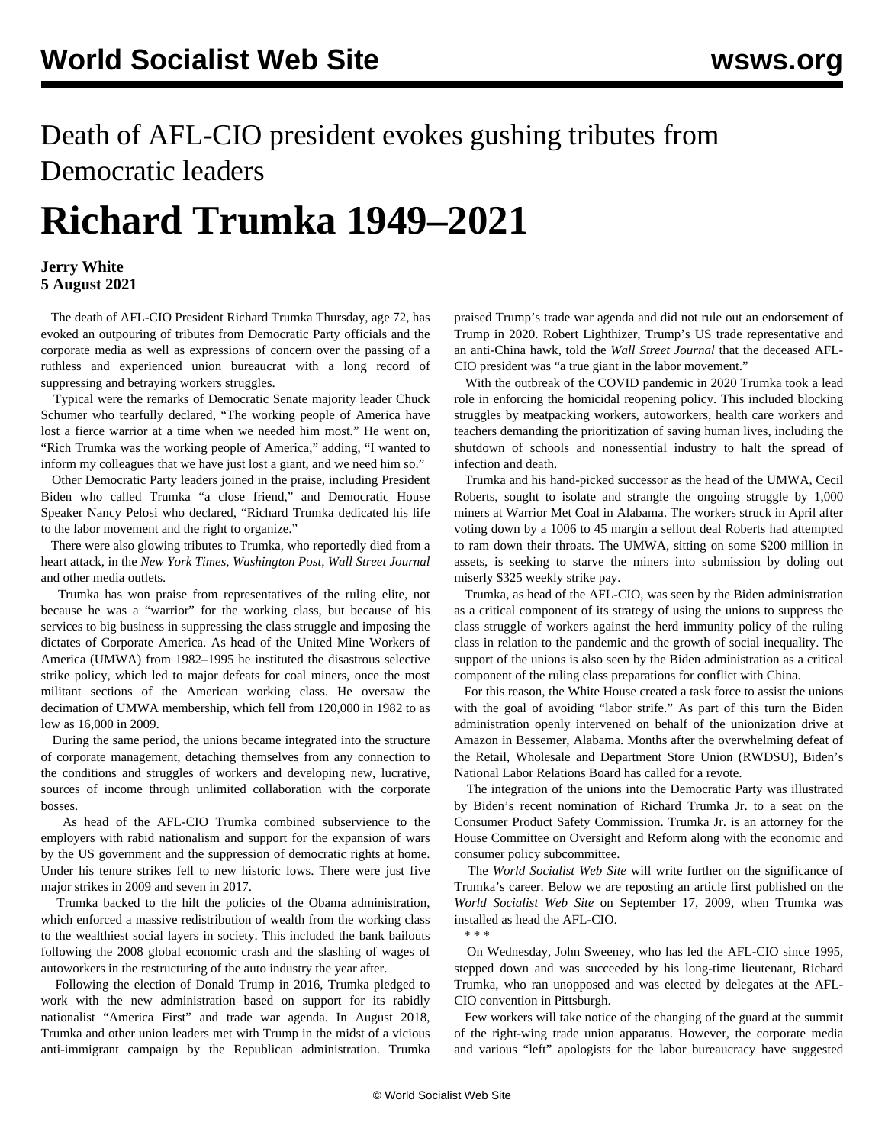## Death of AFL-CIO president evokes gushing tributes from Democratic leaders

## **Richard Trumka 1949–2021**

## **Jerry White 5 August 2021**

 The death of AFL-CIO President Richard Trumka Thursday, age 72, has evoked an outpouring of tributes from Democratic Party officials and the corporate media as well as expressions of concern over the passing of a ruthless and experienced union bureaucrat with a long record of suppressing and betraying workers struggles.

 Typical were the remarks of Democratic Senate majority leader Chuck Schumer who tearfully declared, "The working people of America have lost a fierce warrior at a time when we needed him most." He went on, "Rich Trumka was the working people of America," adding, "I wanted to inform my colleagues that we have just lost a giant, and we need him so."

 Other Democratic Party leaders joined in the praise, including President Biden who called Trumka "a close friend," and Democratic House Speaker Nancy Pelosi who declared, "Richard Trumka dedicated his life to the labor movement and the right to organize."

 There were also glowing tributes to Trumka, who reportedly died from a heart attack, in the *New York Times*, *Washington Post*, *Wall Street Journal* and other media outlets.

 Trumka has won praise from representatives of the ruling elite, not because he was a "warrior" for the working class, but because of his services to big business in suppressing the class struggle and imposing the dictates of Corporate America. As head of the United Mine Workers of America (UMWA) from 1982–1995 he instituted the disastrous selective strike policy, which led to major defeats for coal miners, once the most militant sections of the American working class. He oversaw the decimation of UMWA membership, which fell from 120,000 in 1982 to as low as 16,000 in 2009.

 During the same period, the unions became integrated into the structure of corporate management, detaching themselves from any connection to the conditions and struggles of workers and developing new, lucrative, sources of income through unlimited collaboration with the corporate bosses.

 As head of the AFL-CIO Trumka combined subservience to the employers with rabid nationalism and support for the expansion of wars by the US government and the suppression of democratic rights at home. Under his tenure strikes fell to new historic lows. There were just five major strikes in 2009 and seven in 2017.

 Trumka backed to the hilt the policies of the Obama administration, which enforced a massive redistribution of wealth from the working class to the wealthiest social layers in society. This included the bank bailouts following the 2008 global economic crash and the slashing of wages of autoworkers in the restructuring of the auto industry the year after.

 Following the election of Donald Trump in 2016, Trumka pledged to work with the new administration based on support for its rabidly nationalist "America First" and trade war agenda. In August 2018, Trumka and other union leaders met with Trump in the midst of a vicious anti-immigrant campaign by the Republican administration. Trumka

praised Trump's trade war agenda and did not rule out an endorsement of Trump in 2020. Robert Lighthizer, Trump's US trade representative and an anti-China hawk, told the *Wall Street Journal* that the deceased AFL-CIO president was "a true giant in the labor movement."

 With the outbreak of the COVID pandemic in 2020 Trumka took a lead role in enforcing the homicidal reopening policy. This included blocking struggles by meatpacking workers, autoworkers, health care workers and teachers demanding the prioritization of saving human lives, including the shutdown of schools and nonessential industry to halt the spread of infection and death.

 Trumka and his hand-picked successor as the head of the UMWA, Cecil Roberts, sought to isolate and strangle the ongoing struggle by 1,000 miners at Warrior Met Coal in Alabama. The workers struck in April after voting down by a 1006 to 45 margin a sellout deal Roberts had attempted to ram down their throats. The UMWA, sitting on some \$200 million in assets, is seeking to starve the miners into submission by doling out miserly \$325 weekly strike pay.

 Trumka, as head of the AFL-CIO, was seen by the Biden administration as a critical component of its strategy of using the unions to suppress the class struggle of workers against the herd immunity policy of the ruling class in relation to the pandemic and the growth of social inequality. The support of the unions is also seen by the Biden administration as a critical component of the ruling class preparations for conflict with China.

 For this reason, the White House created a task force to assist the unions with the goal of avoiding "labor strife." As part of this turn the Biden administration openly intervened on behalf of the unionization drive at Amazon in Bessemer, Alabama. Months after the overwhelming defeat of the Retail, Wholesale and Department Store Union (RWDSU), Biden's National Labor Relations Board has called for a revote.

 The integration of the unions into the Democratic Party was illustrated by Biden's recent nomination of Richard Trumka Jr. to a seat on the Consumer Product Safety Commission. Trumka Jr. is an attorney for the House Committee on Oversight and Reform along with the economic and consumer policy subcommittee.

 The *World Socialist Web Site* will write further on the significance of Trumka's career. Below we are reposting an article first published on the *World Socialist Web Site* on September 17, 2009, when Trumka was installed as head the AFL-CIO.

\* \* \*

 On Wednesday, John Sweeney, who has led the AFL-CIO since 1995, stepped down and was succeeded by his long-time lieutenant, Richard Trumka, who ran unopposed and was elected by delegates at the AFL-CIO convention in Pittsburgh.

 Few workers will take notice of the changing of the guard at the summit of the right-wing trade union apparatus. However, the corporate media and various "left" apologists for the labor bureaucracy have suggested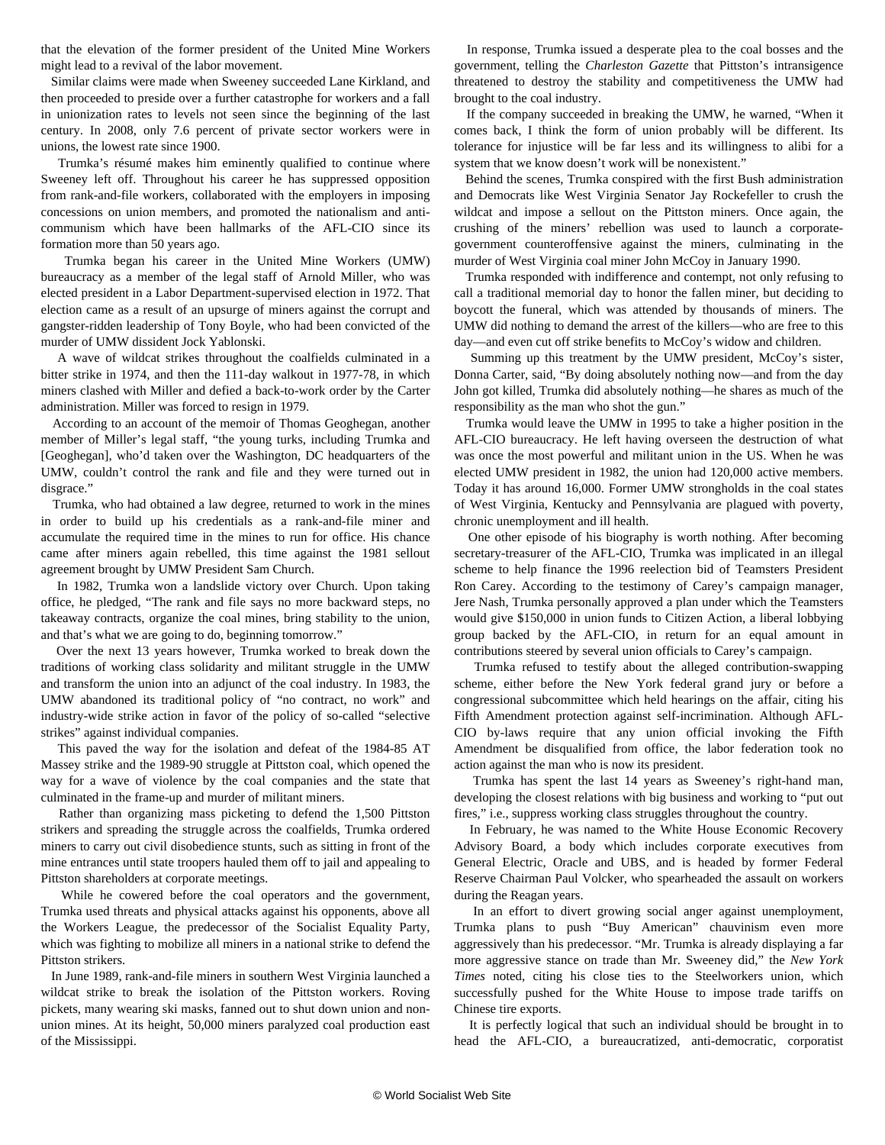that the elevation of the former president of the United Mine Workers might lead to a revival of the labor movement.

 Similar claims were made when Sweeney succeeded Lane Kirkland, and then proceeded to preside over a further catastrophe for workers and a fall in unionization rates to levels not seen since the beginning of the last century. In 2008, only 7.6 percent of private sector workers were in unions, the lowest rate since 1900.

 Trumka's résumé makes him eminently qualified to continue where Sweeney left off. Throughout his career he has suppressed opposition from rank-and-file workers, collaborated with the employers in imposing concessions on union members, and promoted the nationalism and anticommunism which have been hallmarks of the AFL-CIO since its formation more than 50 years ago.

 Trumka began his career in the United Mine Workers (UMW) bureaucracy as a member of the legal staff of Arnold Miller, who was elected president in a Labor Department-supervised election in 1972. That election came as a result of an upsurge of miners against the corrupt and gangster-ridden leadership of Tony Boyle, who had been convicted of the murder of UMW dissident Jock Yablonski.

 A wave of wildcat strikes throughout the coalfields culminated in a bitter strike in 1974, and then the 111-day walkout in 1977-78, in which miners clashed with Miller and defied a back-to-work order by the Carter administration. Miller was forced to resign in 1979.

 According to an account of the memoir of Thomas Geoghegan, another member of Miller's legal staff, "the young turks, including Trumka and [Geoghegan], who'd taken over the Washington, DC headquarters of the UMW, couldn't control the rank and file and they were turned out in disgrace."

 Trumka, who had obtained a law degree, returned to work in the mines in order to build up his credentials as a rank-and-file miner and accumulate the required time in the mines to run for office. His chance came after miners again rebelled, this time against the 1981 sellout agreement brought by UMW President Sam Church.

 In 1982, Trumka won a landslide victory over Church. Upon taking office, he pledged, "The rank and file says no more backward steps, no takeaway contracts, organize the coal mines, bring stability to the union, and that's what we are going to do, beginning tomorrow."

 Over the next 13 years however, Trumka worked to break down the traditions of working class solidarity and militant struggle in the UMW and transform the union into an adjunct of the coal industry. In 1983, the UMW abandoned its traditional policy of "no contract, no work" and industry-wide strike action in favor of the policy of so-called "selective strikes" against individual companies.

 This paved the way for the isolation and defeat of the 1984-85 AT Massey strike and the 1989-90 struggle at Pittston coal, which opened the way for a wave of violence by the coal companies and the state that culminated in the frame-up and murder of militant miners.

 Rather than organizing mass picketing to defend the 1,500 Pittston strikers and spreading the struggle across the coalfields, Trumka ordered miners to carry out civil disobedience stunts, such as sitting in front of the mine entrances until state troopers hauled them off to jail and appealing to Pittston shareholders at corporate meetings.

 While he cowered before the coal operators and the government, Trumka used threats and physical attacks against his opponents, above all the Workers League, the predecessor of the Socialist Equality Party, which was fighting to mobilize all miners in a national strike to defend the Pittston strikers.

 In June 1989, rank-and-file miners in southern West Virginia launched a wildcat strike to break the isolation of the Pittston workers. Roving pickets, many wearing ski masks, fanned out to shut down union and nonunion mines. At its height, 50,000 miners paralyzed coal production east of the Mississippi.

 In response, Trumka issued a desperate plea to the coal bosses and the government, telling the *Charleston Gazette* that Pittston's intransigence threatened to destroy the stability and competitiveness the UMW had brought to the coal industry.

 If the company succeeded in breaking the UMW, he warned, "When it comes back, I think the form of union probably will be different. Its tolerance for injustice will be far less and its willingness to alibi for a system that we know doesn't work will be nonexistent."

 Behind the scenes, Trumka conspired with the first Bush administration and Democrats like West Virginia Senator Jay Rockefeller to crush the wildcat and impose a sellout on the Pittston miners. Once again, the crushing of the miners' rebellion was used to launch a corporategovernment counteroffensive against the miners, culminating in the murder of West Virginia coal miner John McCoy in January 1990.

 Trumka responded with indifference and contempt, not only refusing to call a traditional memorial day to honor the fallen miner, but deciding to boycott the funeral, which was attended by thousands of miners. The UMW did nothing to demand the arrest of the killers—who are free to this day—and even cut off strike benefits to McCoy's widow and children.

Summing up this treatment by the UMW president, McCoy's sister, Donna Carter, said, "By doing absolutely nothing now—and from the day John got killed, Trumka did absolutely nothing—he shares as much of the responsibility as the man who shot the gun."

 Trumka would leave the UMW in 1995 to take a higher position in the AFL-CIO bureaucracy. He left having overseen the destruction of what was once the most powerful and militant union in the US. When he was elected UMW president in 1982, the union had 120,000 active members. Today it has around 16,000. Former UMW strongholds in the coal states of West Virginia, Kentucky and Pennsylvania are plagued with poverty, chronic unemployment and ill health.

 One other episode of his biography is worth nothing. After becoming secretary-treasurer of the AFL-CIO, Trumka was implicated in an illegal scheme to help finance the 1996 reelection bid of Teamsters President Ron Carey. According to the testimony of Carey's campaign manager, Jere Nash, Trumka personally approved a plan under which the Teamsters would give \$150,000 in union funds to Citizen Action, a liberal lobbying group backed by the AFL-CIO, in return for an equal amount in contributions steered by several union officials to Carey's campaign.

 Trumka refused to testify about the alleged contribution-swapping scheme, either before the New York federal grand jury or before a congressional subcommittee which held hearings on the affair, citing his Fifth Amendment protection against self-incrimination. Although AFL-CIO by-laws require that any union official invoking the Fifth Amendment be disqualified from office, the labor federation took no action against the man who is now its president.

 Trumka has spent the last 14 years as Sweeney's right-hand man, developing the closest relations with big business and working to "put out fires," i.e., suppress working class struggles throughout the country.

 In February, he was named to the White House Economic Recovery Advisory Board, a body which includes corporate executives from General Electric, Oracle and UBS, and is headed by former Federal Reserve Chairman Paul Volcker, who spearheaded the assault on workers during the Reagan years.

 In an effort to divert growing social anger against unemployment, Trumka plans to push "Buy American" chauvinism even more aggressively than his predecessor. "Mr. Trumka is already displaying a far more aggressive stance on trade than Mr. Sweeney did," the *New York Times* noted, citing his close ties to the Steelworkers union, which successfully pushed for the White House to impose trade tariffs on Chinese tire exports.

 It is perfectly logical that such an individual should be brought in to head the AFL-CIO, a bureaucratized, anti-democratic, corporatist